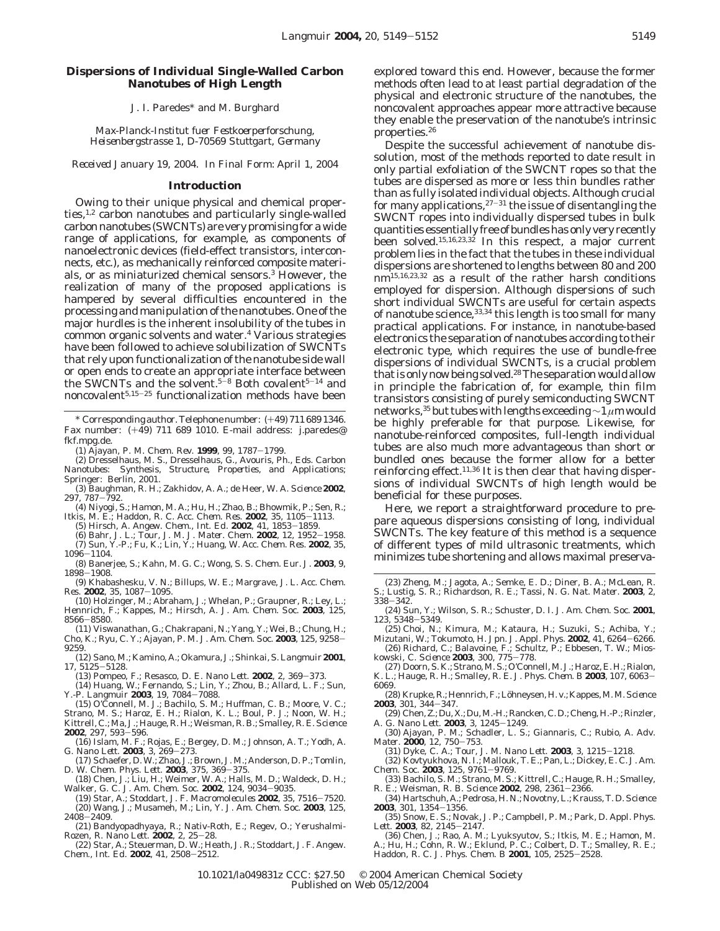# **Dispersions of Individual Single-Walled Carbon Nanotubes of High Length**

J. I. Paredes\* and M. Burghard

*Max-Planck-Institut fuer Festkoerperforschung, Heisenbergstrasse 1, D-70569 Stuttgart, Germany*

*Received January 19, 2004. In Final Form: April 1, 2004*

### **Introduction**

Owing to their unique physical and chemical properties,<sup>1,2</sup> carbon nanotubes and particularly single-walled carbon nanotubes (SWCNTs) are very promising for a wide range of applications, for example, as components of nanoelectronic devices (field-effect transistors, interconnects, etc.), as mechanically reinforced composite materials, or as miniaturized chemical sensors.3 However, the realization of many of the proposed applications is hampered by several difficulties encountered in the processing and manipulation of the nanotubes. One of the major hurdles is the inherent insolubility of the tubes in common organic solvents and water.4 Various strategies have been followed to achieve solubilization of SWCNTs that rely upon functionalization of the nanotube side wall or open ends to create an appropriate interface between the SWCNTs and the solvent.<sup>5-8</sup> Both covalent<sup>5-14</sup> and noncovalent<sup>5,15-25</sup> functionalization methods have been

\* Corresponding author. Telephone number: (+49) 711 689 1346. Fax number: (+49) 711 689 1010. E-mail address: j.paredes@ fkf.mpg.de.

(1) Ajayan, P. M. *Chem. Rev.* **<sup>1999</sup>**, *<sup>99</sup>*, 1787-1799.

(2) Dresselhaus, M. S., Dresselhaus, G., Avouris, Ph., Eds. *Carbon Nanotubes: Synthesis, Structure, Properties, and Applications*; Springer: Berlin, 2001.

(3) Baughman, R. H.; Zakhidov, A. A.; de Heer, W. A. *Science* **2002**, *<sup>297</sup>*, 787-792.

(4) Niyogi, S.; Hamon, M. A.; Hu, H.; Zhao, B.; Bhowmik, P.; Sen, R.; Itkis, M. E.; Haddon, R. C. *Acc. Chem. Res.* **<sup>2002</sup>**, *<sup>35</sup>*, 1105-1113.

(5) Hirsch, A. *Angew. Chem., Int. Ed.* **<sup>2002</sup>**, *<sup>41</sup>*, 1853-1859.

(6) Bahr, J. L.; Tour, J. M. *J. Mater. Chem.* **<sup>2002</sup>**, *<sup>12</sup>*, 1952-1958.

(7) Sun, Y.-P.; Fu, K.; Lin, Y.; Huang, W. *Acc. Chem. Res.* **2002**, *35*, <sup>1096</sup>-1104.

(8) Banerjee, S.; Kahn, M. G. C.; Wong, S. S. *Chem. Eur. J.* **2003**, *9*, <sup>1898</sup>-1908.

(9) Khabashesku, V. N.; Billups, W. E.; Margrave, J. L. *Acc. Chem. Res.* **<sup>2002</sup>**, *<sup>35</sup>*, 1087-1095.

(10) Holzinger, M.; Abraham, J.; Whelan, P.; Graupner, R.; Ley, L.; Hennrich, F.; Kappes, M.; Hirsch, A. *J. Am. Chem. Soc.* **2003**, *125*, <sup>8566</sup>-8580.

(11) Viswanathan, G.; Chakrapani, N.; Yang, Y.; Wei, B.; Chung, H.; Cho, K.; Ryu, C. Y.; Ajayan, P. M. *J. Am. Chem. Soc.* **<sup>2003</sup>**, *<sup>125</sup>*, 9258- 9259.

(12) Sano, M.; Kamino, A.; Okamura, J.; Shinkai, S. *Langmuir* **2001**,

*<sup>17</sup>*, 5125-5128. (13) Pompeo, F.; Resasco, D. E. *Nano Lett.* **<sup>2002</sup>**, *<sup>2</sup>*, 369-373. (14) Huang, W.; Fernando, S.; Lin, Y.; Zhou, B.; Allard, L. F.; Sun, Y.-P. *Langmuir* **<sup>2003</sup>**, *<sup>19</sup>*, 7084-7088. (15) O'Connell, M. J.; Bachilo, S. M.; Huffman, C. B.; Moore, V. C.;

Strano, M. S.; Haroz, E. H.; Rialon, K. L.; Boul, P. J.; Noon, W. H.; Kittrell, C.; Ma, J.; Hauge, R. H.; Weisman, R. B.; Smalley, R. E. *Science*

**<sup>2002</sup>**, *<sup>297</sup>*, 593-596. (16) Islam, M. F.; Rojas, E.; Bergey, D. M.; Johnson, A. T.; Yodh, A.

- G. *Nano Lett.* **<sup>2003</sup>**, *<sup>3</sup>*, 269-273.
- (17) Schaefer, D. W.; Zhao, J.; Brown, J. M.; Anderson, D. P.; Tomlin, D. W. Chem. Phys. Lett. 2003, 375, 369-375.
- D. W. *Chem. Phys. Lett.* **2003**,  $375$ ,  $369-375$ .<br>
(18) Chen, J.; Liu, H.; Weimer, W. A.; Halls, M. D.; Waldeck, D. H.;<br>
Walker, G. C. *J. Am. Chem. Soc.* **2002**, 124, 9034-9035.<br>
(19) Star, A.; Stoddart, J. F. *Macromo*

(20) Wang, J.; Musameh, M.; Lin, Y. *J. Am. Chem. Soc.* **2003**, *125*,

<sup>2408</sup>-2409. (21) Bandyopadhyaya, R.; Nativ-Roth, E.; Regev, O.; Yerushalmi-Rozen, R. *Nano Lett.* **<sup>2002</sup>**, *<sup>2</sup>*, 25-28.

(22) Star, A.; Steuerman, D. W.; Heath, J. R.; Stoddart, J. F. *Angew. Chem., Int. Ed.* **<sup>2002</sup>**, *<sup>41</sup>*, 2508-2512.

explored toward this end. However, because the former methods often lead to at least partial degradation of the physical and electronic structure of the nanotubes, the noncovalent approaches appear more attractive because they enable the preservation of the nanotube's intrinsic properties.26

Despite the successful achievement of nanotube dissolution, most of the methods reported to date result in only partial exfoliation of the SWCNT ropes so that the tubes are dispersed as more or less thin bundles rather than as fully isolated individual objects. Although crucial for many applications,  $27-31$  the issue of disentangling the SWCNT ropes into individually dispersed tubes in bulk quantities essentially free of bundles has only very recently been solved.15,16,23,32 In this respect, a major current problem lies in the fact that the tubes in these individual dispersions are shortened to lengths between 80 and 200 nm15,16,23,32 as a result of the rather harsh conditions employed for dispersion. Although dispersions of such short individual SWCNTs are useful for certain aspects of nanotube science, 33,34 this length is too small for many practical applications. For instance, in nanotube-based electronics the separation of nanotubes according to their electronic type, which requires the use of bundle-free dispersions of individual SWCNTs, is a crucial problem that is only now being solved.<sup>28</sup> The separation would allow in principle the fabrication of, for example, thin film transistors consisting of purely semiconducting SWCNT networks,35 but tubes with lengths exceeding∼1 *µ*m would be highly preferable for that purpose. Likewise, for nanotube-reinforced composites, full-length individual tubes are also much more advantageous than short or bundled ones because the former allow for a better reinforcing effect.<sup>11,36</sup> It is then clear that having dispersions of individual SWCNTs of high length would be beneficial for these purposes.

Here, we report a straightforward procedure to prepare aqueous dispersions consisting of long, individual SWCNTs. The key feature of this method is a sequence of different types of mild ultrasonic treatments, which minimizes tube shortening and allows maximal preserva-

- (23) Zheng, M.; Jagota, A.; Semke, E. D.; Diner, B. A.; McLean, R. S.; Lustig, S. R.; Richardson, R. E.; Tassi, N. G. *Nat. Mater.* **2003**, *2*, <sup>338</sup>-342.
- (24) Sun, Y.; Wilson, S. R.; Schuster, D. I. *J. Am. Chem. Soc.* **2001**, *<sup>123</sup>*, 5348-5349.

(25) Choi, N.; Kimura, M.; Kataura, H.; Suzuki, S.; Achiba, Y.; Mizutani, W.; Tokumoto, H. *Jpn. J. Appl. Phys.* **<sup>2002</sup>**, *<sup>41</sup>*, 6264-6266. (26) Richard, C.; Balavoine, F.; Schultz, P.; Ebbesen, T. W.; Mios-

kowski, C. *Science* **<sup>2003</sup>**, *<sup>300</sup>*, 775-778. (27) Doorn, S. K.; Strano, M. S.; O'Connell, M. J.; Haroz, E. H.; Rialon,

K. L.; Hauge, R. H.; Smalley, R. E. *J. Phys. Chem. B* **<sup>2003</sup>**, *<sup>107</sup>*, 6063- 6069. (28) Krupke, R.; Hennrich, F.; Lo¨hneysen, H. v.; Kappes, M. M.*Science*

**<sup>2003</sup>**, *<sup>301</sup>*, 344-347.

(29) Chen, Z.; Du, X.; Du, M.-H.; Rancken, C. D.; Cheng, H.-P.; Rinzler, A. G. Nano Lett. 2003, 3, 1245–1249. A. G. *Nano Lett.* **<sup>2003</sup>**, *<sup>3</sup>*, 1245-1249. (30) Ajayan, P. M.; Schadler, L. S.; Giannaris, C.; Rubio, A. *Adv.*

*Mater.* **<sup>2000</sup>**, *<sup>12</sup>*, 750-753. (31) Dyke, C. A.; Tour, J. M. *Nano Lett.* **<sup>2003</sup>**, *<sup>3</sup>*, 1215-1218. (32) Kovtyukhova, N. I.; Mallouk, T. E.; Pan, L.; Dickey, E. C. *J. Am.*

*Chem. Soc.* **<sup>2003</sup>**, *<sup>125</sup>*, 9761-9769. (33) Bachilo, S. M.; Strano, M. S.; Kittrell, C.; Hauge, R. H.; Smalley, R. E.; Weisman, R. B. *Science* **<sup>2002</sup>**, *<sup>298</sup>*, 2361-2366.

- (34) Hartschuh, A.; Pedrosa, H. N.; Novotny, L.; Krauss, T. D. *Science* **<sup>2003</sup>**, *<sup>301</sup>*, 1354-1356. (35) Snow, E. S.; Novak, J. P.; Campbell, P. M.; Park, D. *Appl. Phys.*
- 

*Lett.* **<sup>2003</sup>**, *<sup>82</sup>*, 2145-2147. (36) Chen, J.; Rao, A. M.; Lyuksyutov, S.; Itkis, M. E.; Hamon, M. A.; Hu, H.; Cohn, R. W.; Eklund, P. C.; Colbert, D. T.; Smalley, R. E.; Haddon, R. C. *J. Phys. Chem. B* **<sup>2001</sup>**, *<sup>105</sup>*, 2525-2528.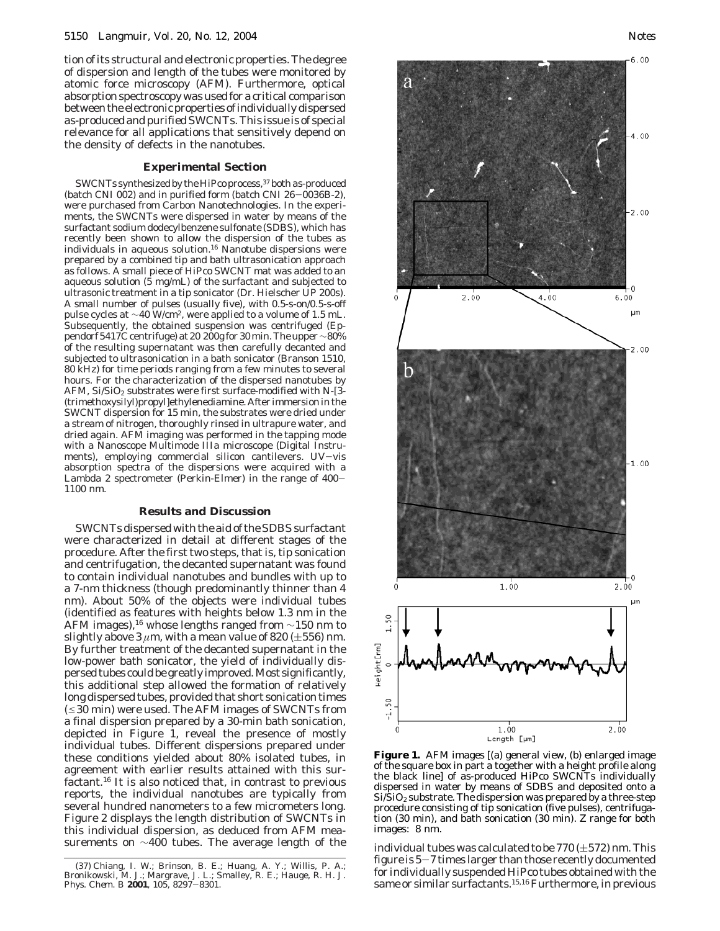tion of its structural and electronic properties. The degree of dispersion and length of the tubes were monitored by atomic force microscopy (AFM). Furthermore, optical absorption spectroscopy was used for a critical comparison between the electronic properties of individually dispersed as-produced and purified SWCNTs. This issue is of special relevance for all applications that sensitively depend on the density of defects in the nanotubes.

# **Experimental Section**

SWCNTs synthesized by the HiPco process,<sup>37</sup> both as-produced (batch CNI 002) and in purified form (batch CNI 26-0036B-2), were purchased from Carbon Nanotechnologies. In the experiments, the SWCNTs were dispersed in water by means of the surfactant sodium dodecylbenzene sulfonate (SDBS), which has recently been shown to allow the dispersion of the tubes as individuals in aqueous solution.16 Nanotube dispersions were prepared by a combined tip and bath ultrasonication approach as follows. A small piece of HiPco SWCNT mat was added to an aqueous solution (5 mg/mL) of the surfactant and subjected to ultrasonic treatment in a tip sonicator (Dr. Hielscher UP 200s). A small number of pulses (usually five), with 0.5-s-on/0.5-s-off pulse cycles at ~40 W/cm<sup>2</sup>, were applied to a volume of 1.5 mL. Subsequently, the obtained suspension was centrifuged (Eppendorf 5417C centrifuge) at 20 200*g* for 30 min. The upper ∼80% of the resulting supernatant was then carefully decanted and subjected to ultrasonication in a bath sonicator (Branson 1510, 80 kHz) for time periods ranging from a few minutes to several hours. For the characterization of the dispersed nanotubes by AFM, Si/SiO<sub>2</sub> substrates were first surface-modified with *N*-[3-(trimethoxysilyl)propyl]ethylenediamine. After immersion in the SWCNT dispersion for 15 min, the substrates were dried under a stream of nitrogen, thoroughly rinsed in ultrapure water, and dried again. AFM imaging was performed in the tapping mode with a Nanoscope Multimode IIIa microscope (Digital Instruments), employing commercial silicon cantilevers. UV-vis absorption spectra of the dispersions were acquired with a Lambda 2 spectrometer (Perkin-Elmer) in the range of 400- 1100 nm.

#### **Results and Discussion**

SWCNTs dispersed with the aid of the SDBS surfactant were characterized in detail at different stages of the procedure. After the first two steps, that is, tip sonication and centrifugation, the decanted supernatant was found to contain individual nanotubes and bundles with up to a 7-nm thickness (though predominantly thinner than 4 nm). About 50% of the objects were individual tubes (identified as features with heights below 1.3 nm in the AFM images),16 whose lengths ranged from ∼150 nm to slightly above  $3 \mu m$ , with a mean value of 820 ( $\pm 556$ ) nm. By further treatment of the decanted supernatant in the low-power bath sonicator, the yield of individually dispersed tubes could be greatly improved. Most significantly, this additional step allowed the formation of relatively long dispersed tubes, provided that short sonication times  $(\leq 30$  min) were used. The AFM images of SWCNTs from a final dispersion prepared by a 30-min bath sonication, depicted in Figure 1, reveal the presence of mostly individual tubes. Different dispersions prepared under these conditions yielded about 80% isolated tubes, in agreement with earlier results attained with this surfactant.16 It is also noticed that, in contrast to previous reports, the individual nanotubes are typically from several hundred nanometers to a few micrometers long. Figure 2 displays the length distribution of SWCNTs in this individual dispersion, as deduced from AFM mea-





**Figure 1.** AFM images [(a) general view, (b) enlarged image of the square box in part a together with a height profile along the black line] of as-produced HiPco SWCNTs individually dispersed in water by means of SDBS and deposited onto a  $Si/SiO<sub>2</sub>$  substrate. The dispersion was prepared by a three-step procedure consisting of tip sonication (five pulses), centrifugation (30 min), and bath sonication (30 min). *Z* range for both images: 8 nm.

Height[nm

surements on  $\sim$ 400 tubes. The average length of the individual tubes was calculated to be 770 ( $\pm$ 572) nm. This figure is 5-7 times larger than those recently documented for individually suspended HiPco tubes obtained with the same or similar surfactants.<sup>15,16</sup> Furthermore, in previous

<sup>(37)</sup> Chiang, I. W.; Brinson, B. E.; Huang, A. Y.; Willis, P. A.; Bronikowski, M. J.; Margrave, J. L.; Smalley, R. E.; Hauge, R. H. *J. Phys. Chem. B* **<sup>2001</sup>**, *<sup>105</sup>*, 8297-8301.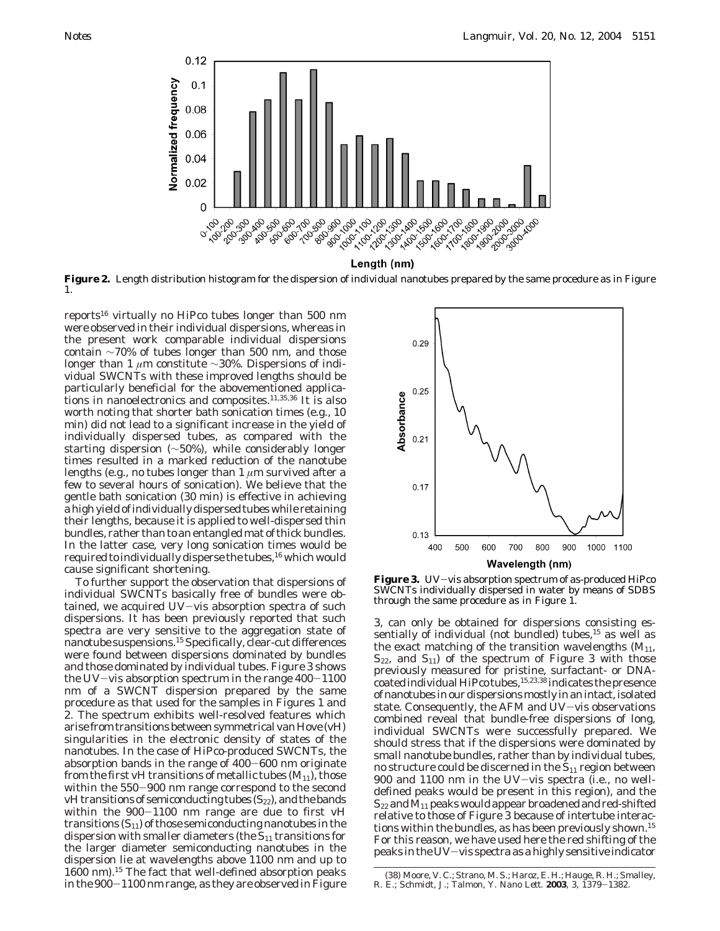

**Figure 2.** Length distribution histogram for the dispersion of individual nanotubes prepared by the same procedure as in Figure 1.

reports<sup>16</sup> virtually no HiPco tubes longer than 500 nm were observed in their individual dispersions, whereas in the present work comparable individual dispersions contain ∼70% of tubes longer than 500 nm, and those longer than 1 *µ*m constitute ∼30%. Dispersions of individual SWCNTs with these improved lengths should be particularly beneficial for the abovementioned applications in nanoelectronics and composites.11,35,36 It is also worth noting that shorter bath sonication times (e.g., 10 min) did not lead to a significant increase in the yield of individually dispersed tubes, as compared with the starting dispersion (∼50%), while considerably longer times resulted in a marked reduction of the nanotube lengths (e.g., no tubes longer than 1 *µ*m survived after a few to several hours of sonication). We believe that the gentle bath sonication (30 min) is effective in achieving a high yield of individually dispersed tubes while retaining their lengths, because it is applied to well-dispersed thin bundles, rather than to an entangled mat of thick bundles. In the latter case, very long sonication times would be required to individually disperse the tubes,<sup>16</sup> which would cause significant shortening.

To further support the observation that dispersions of individual SWCNTs basically free of bundles were obtained, we acquired UV-vis absorption spectra of such dispersions. It has been previously reported that such spectra are very sensitive to the aggregation state of nanotube suspensions.15Specifically, clear-cut differences were found between dispersions dominated by bundles and those dominated by individual tubes. Figure 3 shows the UV-vis absorption spectrum in the range  $400-1100$ nm of a SWCNT dispersion prepared by the same procedure as that used for the samples in Figures 1 and 2. The spectrum exhibits well-resolved features which arise from transitions between symmetrical van Hove (vH) singularities in the electronic density of states of the nanotubes. In the case of HiPco-produced SWCNTs, the absorption bands in the range of 400-600 nm originate from the first vH transitions of metallic tubes  $(M_{11})$ , those within the 550-900 nm range correspond to the second vH transitions of semiconducting tubes  $(S_{22})$ , and the bands within the 900-1100 nm range are due to first vH transitions  $(S_{11})$  of those semiconducting nanotubes in the dispersion with smaller diameters (the  $S_{11}$  transitions for the larger diameter semiconducting nanotubes in the dispersion lie at wavelengths above 1100 nm and up to 1600 nm).15 The fact that well-defined absorption peaks in the 900-1100 nm range, as they are observed in Figure



Figure 3. UV-vis absorption spectrum of as-produced HiPco SWCNTs individually dispersed in water by means of SDBS through the same procedure as in Figure 1.

3, can only be obtained for dispersions consisting essentially of individual (not bundled) tubes,<sup>15</sup> as well as the exact matching of the transition wavelengths  $(M_{11},$  $S_{22}$ , and  $S_{11}$ ) of the spectrum of Figure 3 with those previously measured for pristine, surfactant- or DNAcoated individual HiPco tubes, <sup>15,23,38</sup> indicates the presence of nanotubes in our dispersions mostly in an intact, isolated state. Consequently, the AFM and UV-vis observations combined reveal that bundle-free dispersions of long, individual SWCNTs were successfully prepared. We should stress that if the dispersions were dominated by small nanotube bundles, rather than by individual tubes, no structure could be discerned in the  $S_{11}$  region between 900 and 1100 nm in the UV-vis spectra (i.e., no welldefined peaks would be present in this region), and the  $S_{22}$  and  $M_{11}$  peaks would appear broadened and red-shifted relative to those of Figure 3 because of intertube interactions within the bundles, as has been previously shown.<sup>15</sup> For this reason, we have used here the red shifting of the peaks in the UV-vis spectra as a highly sensitive indicator

<sup>(38)</sup> Moore, V. C.; Strano, M. S.; Haroz, E. H.; Hauge, R. H.; Smalley, R. E.; Schmidt, J.; Talmon, Y. *Nano Lett.* **<sup>2003</sup>**, *<sup>3</sup>*, 1379-1382.